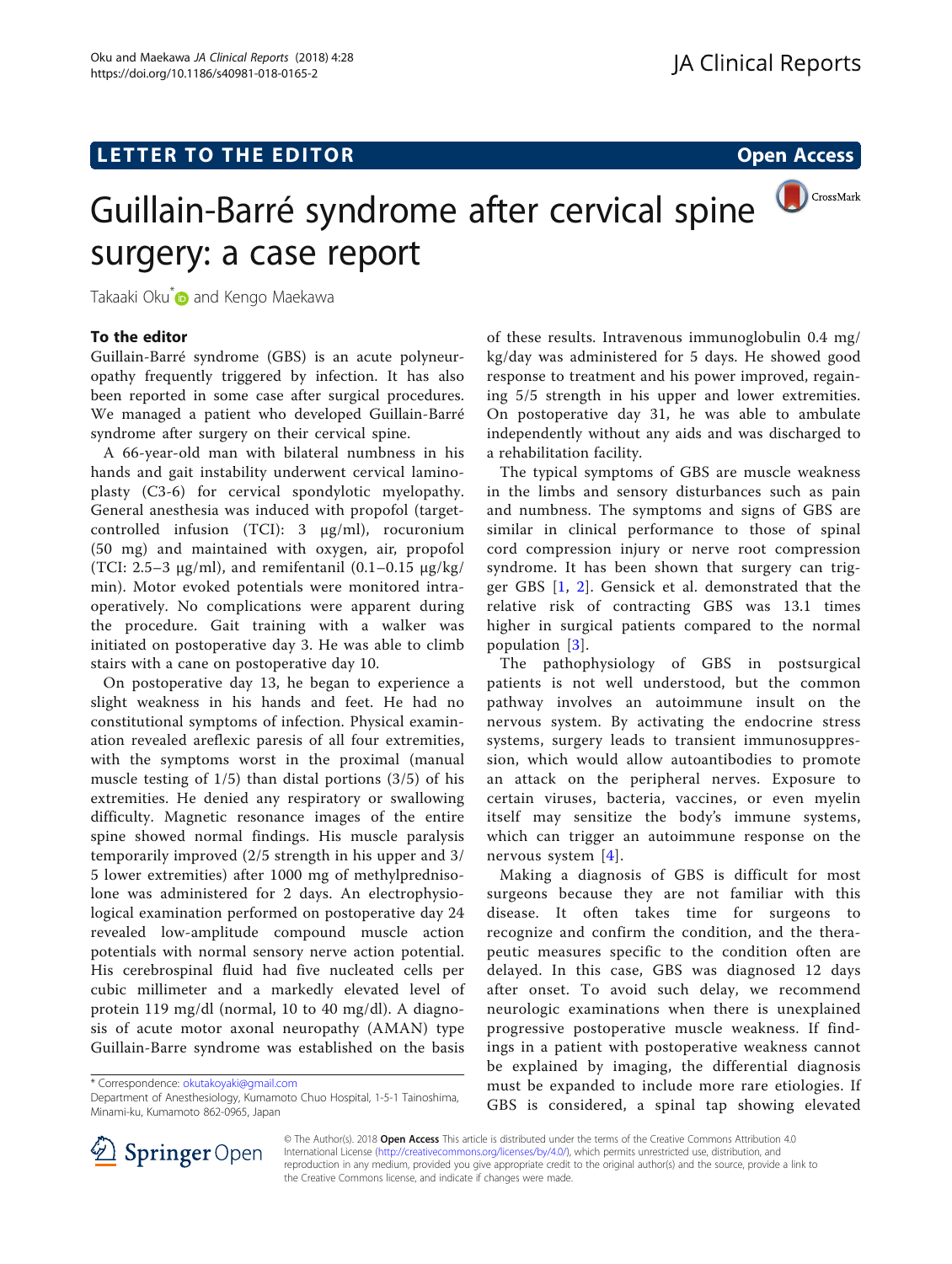# LETTER TO THE EDITOR **CONSIDERING A CONSIDERATION**

# CrossMark Guillain-Barré syndrome after cervical spine surgery: a case report

Takaaki Oku<sup>[\\*](http://orcid.org/0000-0002-1985-3746)</sup> and Kengo Maekawa

## To the editor

Guillain-Barré syndrome (GBS) is an acute polyneuropathy frequently triggered by infection. It has also been reported in some case after surgical procedures. We managed a patient who developed Guillain-Barré syndrome after surgery on their cervical spine.

A 66-year-old man with bilateral numbness in his hands and gait instability underwent cervical laminoplasty (C3-6) for cervical spondylotic myelopathy. General anesthesia was induced with propofol (targetcontrolled infusion (TCI): 3 μg/ml), rocuronium (50 mg) and maintained with oxygen, air, propofol (TCI: 2.5–3  $\mu$ g/ml), and remifentanil (0.1–0.15  $\mu$ g/kg/ min). Motor evoked potentials were monitored intraoperatively. No complications were apparent during the procedure. Gait training with a walker was initiated on postoperative day 3. He was able to climb stairs with a cane on postoperative day 10.

On postoperative day 13, he began to experience a slight weakness in his hands and feet. He had no constitutional symptoms of infection. Physical examination revealed areflexic paresis of all four extremities, with the symptoms worst in the proximal (manual muscle testing of  $1/5$ ) than distal portions  $(3/5)$  of his extremities. He denied any respiratory or swallowing difficulty. Magnetic resonance images of the entire spine showed normal findings. His muscle paralysis temporarily improved (2/5 strength in his upper and 3/ 5 lower extremities) after 1000 mg of methylprednisolone was administered for 2 days. An electrophysiological examination performed on postoperative day 24 revealed low-amplitude compound muscle action potentials with normal sensory nerve action potential. His cerebrospinal fluid had five nucleated cells per cubic millimeter and a markedly elevated level of protein 119 mg/dl (normal, 10 to 40 mg/dl). A diagnosis of acute motor axonal neuropathy (AMAN) type Guillain-Barre syndrome was established on the basis

\* Correspondence: [okutakoyaki@gmail.com](mailto:okutakoyaki@gmail.com)

Department of Anesthesiology, Kumamoto Chuo Hospital, 1-5-1 Tainoshima, Minami-ku, Kumamoto 862-0965, Japan

of these results. Intravenous immunoglobulin 0.4 mg/ kg/day was administered for 5 days. He showed good response to treatment and his power improved, regaining 5/5 strength in his upper and lower extremities. On postoperative day 31, he was able to ambulate independently without any aids and was discharged to a rehabilitation facility.

The typical symptoms of GBS are muscle weakness in the limbs and sensory disturbances such as pain and numbness. The symptoms and signs of GBS are similar in clinical performance to those of spinal cord compression injury or nerve root compression syndrome. It has been shown that surgery can trigger GBS [[1](#page-1-0), [2](#page-1-0)]. Gensick et al. demonstrated that the relative risk of contracting GBS was 13.1 times higher in surgical patients compared to the normal population [[3](#page-1-0)].

The pathophysiology of GBS in postsurgical patients is not well understood, but the common pathway involves an autoimmune insult on the nervous system. By activating the endocrine stress systems, surgery leads to transient immunosuppression, which would allow autoantibodies to promote an attack on the peripheral nerves. Exposure to certain viruses, bacteria, vaccines, or even myelin itself may sensitize the body's immune systems, which can trigger an autoimmune response on the nervous system [\[4\]](#page-1-0).

Making a diagnosis of GBS is difficult for most surgeons because they are not familiar with this disease. It often takes time for surgeons to recognize and confirm the condition, and the therapeutic measures specific to the condition often are delayed. In this case, GBS was diagnosed 12 days after onset. To avoid such delay, we recommend neurologic examinations when there is unexplained progressive postoperative muscle weakness. If findings in a patient with postoperative weakness cannot be explained by imaging, the differential diagnosis must be expanded to include more rare etiologies. If GBS is considered, a spinal tap showing elevated



© The Author(s). 2018 Open Access This article is distributed under the terms of the Creative Commons Attribution 4.0 International License ([http://creativecommons.org/licenses/by/4.0/\)](http://creativecommons.org/licenses/by/4.0/), which permits unrestricted use, distribution, and reproduction in any medium, provided you give appropriate credit to the original author(s) and the source, provide a link to the Creative Commons license, and indicate if changes were made.